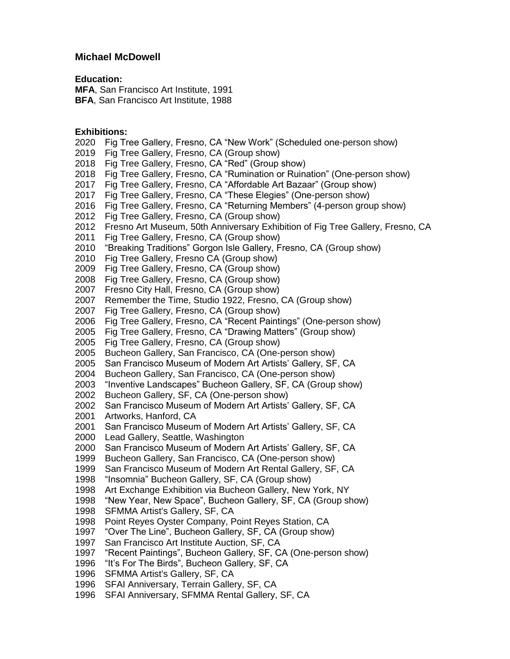# **Michael McDowell**

### **Education:**

**MFA**, San Francisco Art Institute, 1991 **BFA**, San Francisco Art Institute, 1988

# **Exhibitions:**

- 2020 Fig Tree Gallery, Fresno, CA "New Work" (Scheduled one-person show)
- 2019 Fig Tree Gallery, Fresno, CA (Group show)
- 2018 Fig Tree Gallery, Fresno, CA "Red" (Group show)
- 2018 Fig Tree Gallery, Fresno, CA "Rumination or Ruination" (One-person show)
- 2017 Fig Tree Gallery, Fresno, CA "Affordable Art Bazaar" (Group show)
- 2017 Fig Tree Gallery, Fresno, CA "These Elegies" (One-person show)
- 2016 Fig Tree Gallery, Fresno, CA "Returning Members" (4-person group show)
- 2012 Fig Tree Gallery, Fresno, CA (Group show)
- 2012 Fresno Art Museum, 50th Anniversary Exhibition of Fig Tree Gallery, Fresno, CA
- 2011 Fig Tree Gallery, Fresno, CA (Group show)
- 2010 "Breaking Traditions" Gorgon Isle Gallery, Fresno, CA (Group show)
- 2010 Fig Tree Gallery, Fresno CA (Group show)
- 2009 Fig Tree Gallery, Fresno, CA (Group show)
- 2008 Fig Tree Gallery, Fresno, CA (Group show)
- 2007 Fresno City Hall, Fresno, CA (Group show)
- 2007 Remember the Time, Studio 1922, Fresno, CA (Group show)
- 2007 Fig Tree Gallery, Fresno, CA (Group show)
- 2006 Fig Tree Gallery, Fresno, CA "Recent Paintings" (One-person show)
- 2005 Fig Tree Gallery, Fresno, CA "Drawing Matters" (Group show)
- 2005 Fig Tree Gallery, Fresno, CA (Group show)
- 2005 Bucheon Gallery, San Francisco, CA (One-person show)
- 2005 San Francisco Museum of Modern Art Artists' Gallery, SF, CA
- 2004 Bucheon Gallery, San Francisco, CA (One-person show)
- 2003 "Inventive Landscapes" Bucheon Gallery, SF, CA (Group show)
- 2002 Bucheon Gallery, SF, CA (One-person show)
- 2002 San Francisco Museum of Modern Art Artists' Gallery, SF, CA
- 2001 Artworks, Hanford, CA
- 2001 San Francisco Museum of Modern Art Artists' Gallery, SF, CA
- 2000 Lead Gallery, Seattle, Washington
- 2000 San Francisco Museum of Modern Art Artists' Gallery, SF, CA
- 1999 Bucheon Gallery, San Francisco, CA (One-person show)
- 1999 San Francisco Museum of Modern Art Rental Gallery, SF, CA
- 1998 "Insomnia" Bucheon Gallery, SF, CA (Group show)
- 1998 Art Exchange Exhibition via Bucheon Gallery, New York, NY
- 1998 "New Year, New Space", Bucheon Gallery, SF, CA (Group show)
- 1998 SFMMA Artist's Gallery, SF, CA
- 1998 Point Reyes Oyster Company, Point Reyes Station, CA
- 1997 "Over The Line", Bucheon Gallery, SF, CA (Group show)
- 1997 San Francisco Art Institute Auction, SF, CA
- 1997 "Recent Paintings", Bucheon Gallery, SF, CA (One-person show)
- 1996 "It's For The Birds", Bucheon Gallery, SF, CA
- 1996 SFMMA Artist's Gallery, SF, CA
- 1996 SFAI Anniversary, Terrain Gallery, SF, CA
- 1996 SFAI Anniversary, SFMMA Rental Gallery, SF, CA